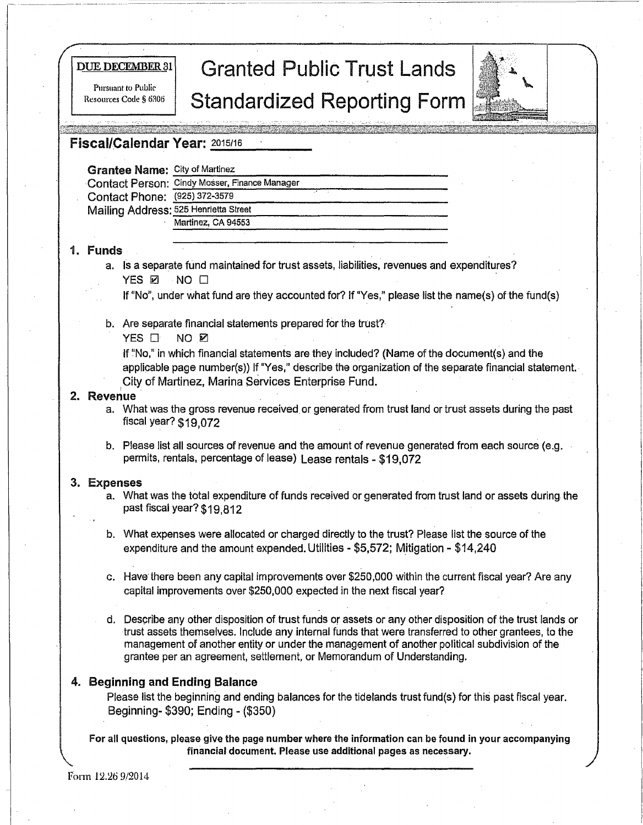# **DUE DECEMBER 31** Granted Public Trust Lands Standardized Reporting Form



## Fiscal/Calendar Year: 2015/16

Pursuant to Public<br>Resources Code § 6306

| <b>scal/Calendar Year: 2015/16</b>    |                                               |
|---------------------------------------|-----------------------------------------------|
| <b>Grantee Name: City of Martinez</b> |                                               |
|                                       | Contact Person: Cindy Mosser, Finance Manager |
| Contact Phone: (925) 372-3579         |                                               |
| Mailing Address: 525 Henrietta Street |                                               |
|                                       | Martinez, CA 94553                            |
|                                       |                                               |

## 1. Funds . .

- a. Is a separate fund maintained for trust assets, liabilities, revenues and expenditures? YES<sub>⊠</sub> NO □
	- If "No", under what fund are they accounted for? If "Yes," please list the name{s) of the fund(s)
- b. Are separate financial statements prepared for the trust?
	- YES  $\Box$  NO  $\boxtimes$

If "No," in which financial statements are they included? (Name of the document(s) and the applicable page number(s)) If "Yes," describe the organization of the separate financial statement. City of Martinez, Marina Services Enterprise Fund.

#### **2. Revenue**

- a. What was the gross revenue received. or generated from trust land or trust assets during the past fiscal year? \$19,072
- b. Please list all sources of revenue and the amount of revenue generated from each source (e.g. permits, rentals, percentage of lease) Lease rentals - \$19,072

### 3. Expenses

- a. What was the total expenditure of funds received or generated from trust land or assets during. the past fiscal year? \$19,812
- b. What expenses were allocated or charged directly to the trust? Please list the source of the expenditure and the amount expended. Utilities - \$5,572; Mitigation - \$14,240
- c. Have there been any capital improvements over \$250,000 within the current fiscal year? Are any capital improvements over \$250,000 expected in the next fiscal year?
- d. Describe any other disposition of trust funds or assets or any other disposition of the trust lands or trust assets themselves. Include any internal funds that were transferred to other grantees, to the management of another entity or under the management of another political subdivision of the grantee per an agreement, settlement, or Memorandum of Understanding.

### **4. Beginning and Ending Balance**

Please list the beginning and ending balances for the tidelands trust fund(s) for this past fiscal year. Beginning- \$390; Ending - (\$350)

For all questions, please give the page number where the information can be found in your accompanying financial document. Please use additional pages as necessary.

Form 12.26 9/2014

 $\mathbf{I}$